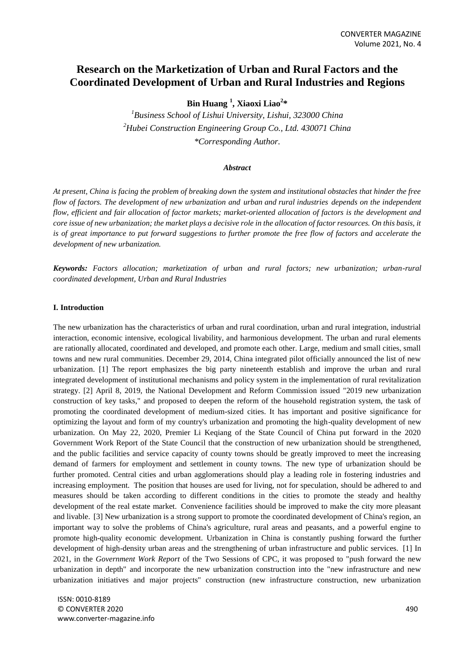# **Research on the Marketization of Urban and Rural Factors and the Coordinated Development of Urban and Rural Industries and Regions**

**Bin Huang <sup>1</sup> , Xiaoxi Liao<sup>2</sup> \***

*<sup>1</sup>Business School of Lishui University, Lishui, 323000 China <sup>2</sup>Hubei Construction Engineering Group Co., Ltd. 430071 China \*Corresponding Author.*

#### *Abstract*

*At present, China is facing the problem of breaking down the system and institutional obstacles that hinder the free flow of factors. The development of new urbanization and urban and rural industries depends on the independent flow, efficient and fair allocation of factor markets; market-oriented allocation of factors is the development and core issue of new urbanization; the market plays a decisive role in the allocation of factor resources. On this basis, it is of great importance to put forward suggestions to further promote the free flow of factors and accelerate the development of new urbanization.*

*Keywords: Factors allocation; marketization of urban and rural factors; new urbanization; urban-rural coordinated development, Urban and Rural Industries*

#### **I. Introduction**

The new urbanization has the characteristics of urban and rural coordination, urban and rural integration, industrial interaction, economic intensive, ecological livability, and harmonious development. The urban and rural elements are rationally allocated, coordinated and developed, and promote each other. Large, medium and small cities, small towns and new rural communities. December 29, 2014, China integrated pilot officially announced the list of new urbanization. [1] The report emphasizes the big party nineteenth establish and improve the urban and rural integrated development of institutional mechanisms and policy system in the implementation of rural revitalization strategy. [2] April 8, 2019, the National Development and Reform Commission issued "2019 new urbanization construction of key tasks," and proposed to deepen the reform of the household registration system, the task of promoting the coordinated development of medium-sized cities. It has important and positive significance for optimizing the layout and form of my country's urbanization and promoting the high-quality development of new urbanization. On May 22, 2020, Premier Li Keqiang of the State Council of China put forward in the 2020 Government Work Report of the State Council that the construction of new urbanization should be strengthened, and the public facilities and service capacity of county towns should be greatly improved to meet the increasing demand of farmers for employment and settlement in county towns. The new type of urbanization should be further promoted. Central cities and urban agglomerations should play a leading role in fostering industries and increasing employment. The position that houses are used for living, not for speculation, should be adhered to and measures should be taken according to different conditions in the cities to promote the steady and healthy development of the real estate market. Convenience facilities should be improved to make the city more pleasant and livable. [3] New urbanization is a strong support to promote the coordinated development of China's region, an important way to solve the problems of China's agriculture, rural areas and peasants, and a powerful engine to promote high-quality economic development. Urbanization in China is constantly pushing forward the further development of high-density urban areas and the strengthening of urban infrastructure and public services. [1] In 2021, in the *Government Work Report* of the Two Sessions of CPC, it was proposed to "push forward the new urbanization in depth" and incorporate the new urbanization construction into the "new infrastructure and new urbanization initiatives and major projects" construction (new infrastructure construction, new urbanization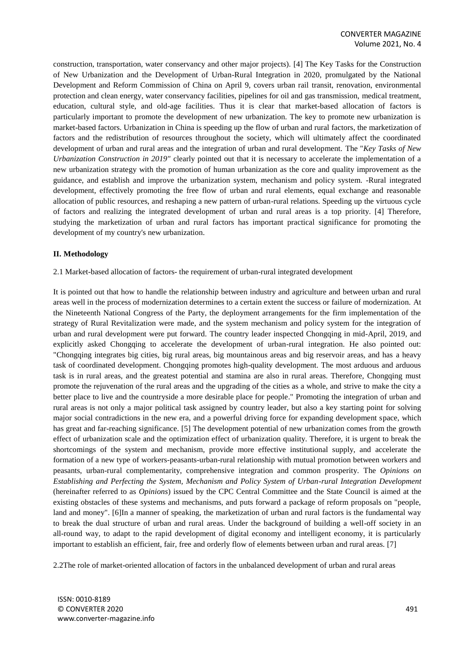construction, transportation, water conservancy and other major projects). [4] The Key Tasks for the Construction of New Urbanization and the Development of Urban-Rural Integration in 2020, promulgated by the National Development and Reform Commission of China on April 9, covers urban rail transit, renovation, environmental protection and clean energy, water conservancy facilities, pipelines for oil and gas transmission, medical treatment, education, cultural style, and old-age facilities. Thus it is clear that market-based allocation of factors is particularly important to promote the development of new urbanization. The key to promote new urbanization is market-based factors. Urbanization in China is speeding up the flow of urban and rural factors, the marketization of factors and the redistribution of resources throughout the society, which will ultimately affect the coordinated development of urban and rural areas and the integration of urban and rural development. The "*Key Tasks of New Urbanization Construction in 2019"* clearly pointed out that it is necessary to accelerate the implementation of a new urbanization strategy with the promotion of human urbanization as the core and quality improvement as the guidance, and establish and improve the urbanization system, mechanism and policy system. -Rural integrated development, effectively promoting the free flow of urban and rural elements, equal exchange and reasonable allocation of public resources, and reshaping a new pattern of urban-rural relations. Speeding up the virtuous cycle of factors and realizing the integrated development of urban and rural areas is a top priority. [4] Therefore, studying the marketization of urban and rural factors has important practical significance for promoting the development of my country's new urbanization.

# **II. Methodology**

2.1 Market-based allocation of factors- the requirement of urban-rural integrated development

It is pointed out that how to handle the relationship between industry and agriculture and between urban and rural areas well in the process of modernization determines to a certain extent the success or failure of modernization. At the Nineteenth National Congress of the Party, the deployment arrangements for the firm implementation of the strategy of Rural Revitalization were made, and the system mechanism and policy system for the integration of urban and rural development were put forward. The country leader inspected Chongqing in mid-April, 2019, and explicitly asked Chongqing to accelerate the development of urban-rural integration. He also pointed out: "Chongqing integrates big cities, big rural areas, big mountainous areas and big reservoir areas, and has a heavy task of coordinated development. Chongqing promotes high-quality development. The most arduous and arduous task is in rural areas, and the greatest potential and stamina are also in rural areas. Therefore, Chongqing must promote the rejuvenation of the rural areas and the upgrading of the cities as a whole, and strive to make the city a better place to live and the countryside a more desirable place for people." Promoting the integration of urban and rural areas is not only a major political task assigned by country leader, but also a key starting point for solving major social contradictions in the new era, and a powerful driving force for expanding development space, which has great and far-reaching significance. [5] The development potential of new urbanization comes from the growth effect of urbanization scale and the optimization effect of urbanization quality. Therefore, it is urgent to break the shortcomings of the system and mechanism, provide more effective institutional supply, and accelerate the formation of a new type of workers-peasants-urban-rural relationship with mutual promotion between workers and peasants, urban-rural complementarity, comprehensive integration and common prosperity. The *Opinions on Establishing and Perfecting the System, Mechanism and Policy System of Urban-rural Integration Development* (hereinafter referred to as *Opinions*) issued by the CPC Central Committee and the State Council is aimed at the existing obstacles of these systems and mechanisms, and puts forward a package of reform proposals on "people, land and money". [6]In a manner of speaking, the marketization of urban and rural factors is the fundamental way to break the dual structure of urban and rural areas. Under the background of building a well-off society in an all-round way, to adapt to the rapid development of digital economy and intelligent economy, it is particularly important to establish an efficient, fair, free and orderly flow of elements between urban and rural areas. [7]

2.2The role of market-oriented allocation of factors in the unbalanced development of urban and rural areas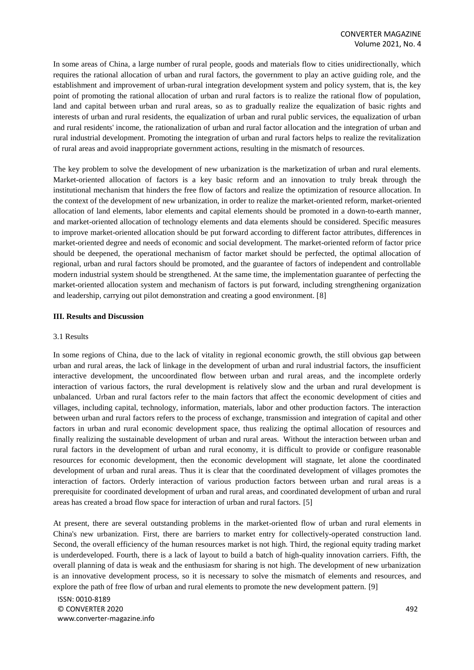In some areas of China, a large number of rural people, goods and materials flow to cities unidirectionally, which requires the rational allocation of urban and rural factors, the government to play an active guiding role, and the establishment and improvement of urban-rural integration development system and policy system, that is, the key point of promoting the rational allocation of urban and rural factors is to realize the rational flow of population, land and capital between urban and rural areas, so as to gradually realize the equalization of basic rights and interests of urban and rural residents, the equalization of urban and rural public services, the equalization of urban and rural residents' income, the rationalization of urban and rural factor allocation and the integration of urban and rural industrial development. Promoting the integration of urban and rural factors helps to realize the revitalization of rural areas and avoid inappropriate government actions, resulting in the mismatch of resources.

The key problem to solve the development of new urbanization is the marketization of urban and rural elements. Market-oriented allocation of factors is a key basic reform and an innovation to truly break through the institutional mechanism that hinders the free flow of factors and realize the optimization of resource allocation. In the context of the development of new urbanization, in order to realize the market-oriented reform, market-oriented allocation of land elements, labor elements and capital elements should be promoted in a down-to-earth manner, and market-oriented allocation of technology elements and data elements should be considered. Specific measures to improve market-oriented allocation should be put forward according to different factor attributes, differences in market-oriented degree and needs of economic and social development. The market-oriented reform of factor price should be deepened, the operational mechanism of factor market should be perfected, the optimal allocation of regional, urban and rural factors should be promoted, and the guarantee of factors of independent and controllable modern industrial system should be strengthened. At the same time, the implementation guarantee of perfecting the market-oriented allocation system and mechanism of factors is put forward, including strengthening organization and leadership, carrying out pilot demonstration and creating a good environment. [8]

#### **III. Results and Discussion**

## 3.1 Results

In some regions of China, due to the lack of vitality in regional economic growth, the still obvious gap between urban and rural areas, the lack of linkage in the development of urban and rural industrial factors, the insufficient interactive development, the uncoordinated flow between urban and rural areas, and the incomplete orderly interaction of various factors, the rural development is relatively slow and the urban and rural development is unbalanced. Urban and rural factors refer to the main factors that affect the economic development of cities and villages, including capital, technology, information, materials, labor and other production factors. The interaction between urban and rural factors refers to the process of exchange, transmission and integration of capital and other factors in urban and rural economic development space, thus realizing the optimal allocation of resources and finally realizing the sustainable development of urban and rural areas. Without the interaction between urban and rural factors in the development of urban and rural economy, it is difficult to provide or configure reasonable resources for economic development, then the economic development will stagnate, let alone the coordinated development of urban and rural areas. Thus it is clear that the coordinated development of villages promotes the interaction of factors. Orderly interaction of various production factors between urban and rural areas is a prerequisite for coordinated development of urban and rural areas, and coordinated development of urban and rural areas has created a broad flow space for interaction of urban and rural factors. [5]

At present, there are several outstanding problems in the market-oriented flow of urban and rural elements in China's new urbanization. First, there are barriers to market entry for collectively-operated construction land. Second, the overall efficiency of the human resources market is not high. Third, the regional equity trading market is underdeveloped. Fourth, there is a lack of layout to build a batch of high-quality innovation carriers. Fifth, the overall planning of data is weak and the enthusiasm for sharing is not high. The development of new urbanization is an innovative development process, so it is necessary to solve the mismatch of elements and resources, and explore the path of free flow of urban and rural elements to promote the new development pattern. [9]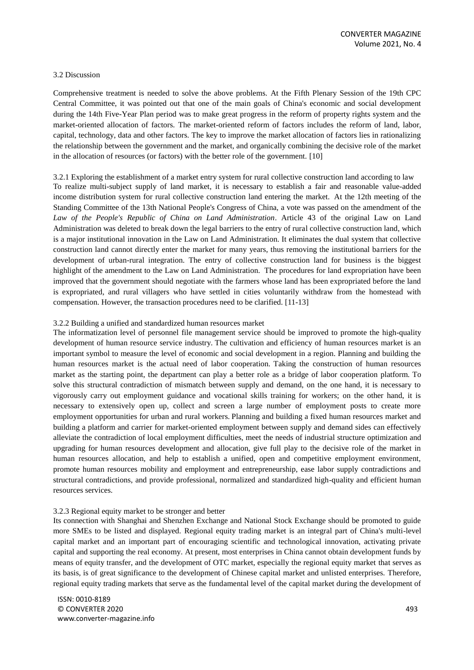# 3.2 Discussion

Comprehensive treatment is needed to solve the above problems. At the Fifth Plenary Session of the 19th CPC Central Committee, it was pointed out that one of the main goals of China's economic and social development during the 14th Five-Year Plan period was to make great progress in the reform of property rights system and the market-oriented allocation of factors. The market-oriented reform of factors includes the reform of land, labor, capital, technology, data and other factors. The key to improve the market allocation of factors lies in rationalizing the relationship between the government and the market, and organically combining the decisive role of the market in the allocation of resources (or factors) with the better role of the government. [10]

3.2.1 Exploring the establishment of a market entry system for rural collective construction land according to law To realize multi-subject supply of land market, it is necessary to establish a fair and reasonable value-added income distribution system for rural collective construction land entering the market. At the 12th meeting of the Standing Committee of the 13th National People's Congress of China, a vote was passed on the amendment of the *Law of the People's Republic of China on Land Administration*. Article 43 of the original Law on Land Administration was deleted to break down the legal barriers to the entry of rural collective construction land, which is a major institutional innovation in the Law on Land Administration. It eliminates the dual system that collective construction land cannot directly enter the market for many years, thus removing the institutional barriers for the development of urban-rural integration. The entry of collective construction land for business is the biggest highlight of the amendment to the Law on Land Administration. The procedures for land expropriation have been improved that the government should negotiate with the farmers whose land has been expropriated before the land is expropriated, and rural villagers who have settled in cities voluntarily withdraw from the homestead with compensation. However, the transaction procedures need to be clarified. [11-13]

#### 3.2.2 Building a unified and standardized human resources market

The informatization level of personnel file management service should be improved to promote the high-quality development of human resource service industry. The cultivation and efficiency of human resources market is an important symbol to measure the level of economic and social development in a region. Planning and building the human resources market is the actual need of labor cooperation. Taking the construction of human resources market as the starting point, the department can play a better role as a bridge of labor cooperation platform. To solve this structural contradiction of mismatch between supply and demand, on the one hand, it is necessary to vigorously carry out employment guidance and vocational skills training for workers; on the other hand, it is necessary to extensively open up, collect and screen a large number of employment posts to create more employment opportunities for urban and rural workers. Planning and building a fixed human resources market and building a platform and carrier for market-oriented employment between supply and demand sides can effectively alleviate the contradiction of local employment difficulties, meet the needs of industrial structure optimization and upgrading for human resources development and allocation, give full play to the decisive role of the market in human resources allocation, and help to establish a unified, open and competitive employment environment, promote human resources mobility and employment and entrepreneurship, ease labor supply contradictions and structural contradictions, and provide professional, normalized and standardized high-quality and efficient human resources services.

# 3.2.3 Regional equity market to be stronger and better

Its connection with Shanghai and Shenzhen Exchange and National Stock Exchange should be promoted to guide more SMEs to be listed and displayed. Regional equity trading market is an integral part of China's multi-level capital market and an important part of encouraging scientific and technological innovation, activating private capital and supporting the real economy. At present, most enterprises in China cannot obtain development funds by means of equity transfer, and the development of OTC market, especially the regional equity market that serves as its basis, is of great significance to the development of Chinese capital market and unlisted enterprises. Therefore, regional equity trading markets that serve as the fundamental level of the capital market during the development of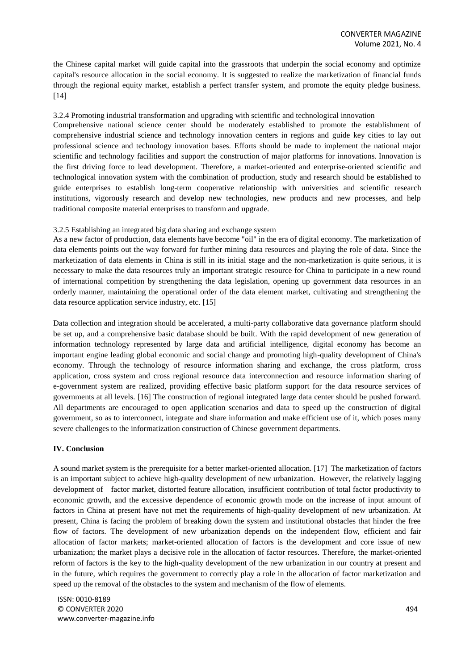the Chinese capital market will guide capital into the grassroots that underpin the social economy and optimize capital's resource allocation in the social economy. It is suggested to realize the marketization of financial funds through the regional equity market, establish a perfect transfer system, and promote the equity pledge business. [14]

3.2.4 Promoting industrial transformation and upgrading with scientific and technological innovation Comprehensive national science center should be moderately established to promote the establishment of comprehensive industrial science and technology innovation centers in regions and guide key cities to lay out professional science and technology innovation bases. Efforts should be made to implement the national major scientific and technology facilities and support the construction of major platforms for innovations. Innovation is the first driving force to lead development. Therefore, a market-oriented and enterprise-oriented scientific and technological innovation system with the combination of production, study and research should be established to guide enterprises to establish long-term cooperative relationship with universities and scientific research institutions, vigorously research and develop new technologies, new products and new processes, and help traditional composite material enterprises to transform and upgrade.

# 3.2.5 Establishing an integrated big data sharing and exchange system

As a new factor of production, data elements have become "oil" in the era of digital economy. The marketization of data elements points out the way forward for further mining data resources and playing the role of data. Since the marketization of data elements in China is still in its initial stage and the non-marketization is quite serious, it is necessary to make the data resources truly an important strategic resource for China to participate in a new round of international competition by strengthening the data legislation, opening up government data resources in an orderly manner, maintaining the operational order of the data element market, cultivating and strengthening the data resource application service industry, etc. [15]

Data collection and integration should be accelerated, a multi-party collaborative data governance platform should be set up, and a comprehensive basic database should be built. With the rapid development of new generation of information technology represented by large data and artificial intelligence, digital economy has become an important engine leading global economic and social change and promoting high-quality development of China's economy. Through the technology of resource information sharing and exchange, the cross platform, cross application, cross system and cross regional resource data interconnection and resource information sharing of e-government system are realized, providing effective basic platform support for the data resource services of governments at all levels. [16] The construction of regional integrated large data center should be pushed forward. All departments are encouraged to open application scenarios and data to speed up the construction of digital government, so as to interconnect, integrate and share information and make efficient use of it, which poses many severe challenges to the informatization construction of Chinese government departments.

# **IV. Conclusion**

A sound market system is the prerequisite for a better market-oriented allocation. [17] The marketization of factors is an important subject to achieve high-quality development of new urbanization. However, the relatively lagging development of factor market, distorted feature allocation, insufficient contribution of total factor productivity to economic growth, and the excessive dependence of economic growth mode on the increase of input amount of factors in China at present have not met the requirements of high-quality development of new urbanization. At present, China is facing the problem of breaking down the system and institutional obstacles that hinder the free flow of factors. The development of new urbanization depends on the independent flow, efficient and fair allocation of factor markets; market-oriented allocation of factors is the development and core issue of new urbanization; the market plays a decisive role in the allocation of factor resources. Therefore, the market-oriented reform of factors is the key to the high-quality development of the new urbanization in our country at present and in the future, which requires the government to correctly play a role in the allocation of factor marketization and speed up the removal of the obstacles to the system and mechanism of the flow of elements.